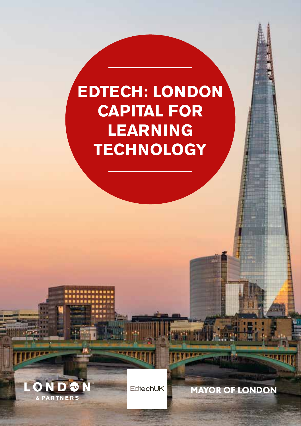### **EDTECH: LONDON CAPITAL FOR LEARNING TECHNOLOGY**



EdtechUK

- 41

**MAYOR OF LONDON** 

**SALARA DEL**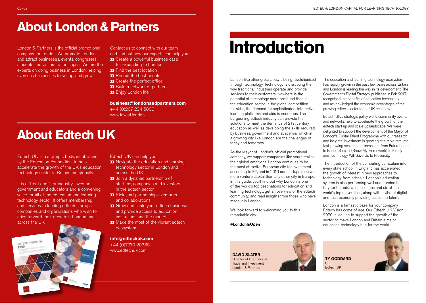### **About London & Partners**

London & Partners is the official promotional company for London. We promote London and attract businesses, events, congresses, students and visitors to the capital. We are the experts on doing business in London; helping overseas businesses to set up, and grow.

Contact us to connect with our team and find out how our experts can help you: **XX** Create a powerful business case

for expanding to London

**>>** Find the best location

**X** Recruit the best people

**XX** Create the perfect office

**>>** Build a network of partners

**>>** Enjoy London life

**business@londonandpartners.com** +44 (0)207 234 5800 www.invest.london

### **About Edtech UK**

Edtech UK is a strategic body, established by the Education Foundation, to help accelerate the growth of the UK's education technology sector in Britain and globally.

It is a "front door" for industry, investors, government and educators and a convening voice for all of the education and learning technology sector. It offers membership and services to leading edtech startups, companies and organisations who wish to drive forward their growth in London and across the UK.



Edtech UK can help you:

- **X** Navigate the education and learning technology sector in London and across the UK
- **>>** Join a dynamic partnership of startups, companies and investors in the edtech sector
- **XX** Kick start partnerships, ventures and collaborations
- **XX** Grow and scale your edtech business and provide access to education institutions and the market
- **XX** Make the most of the vibrant edtech ecosystem

**info@edtechuk.com** +44 (0)7970 203851 www.edtechuk.com

### **Introduction**

London, like other great cities, is being revolutionised through technology. Technology is disrupting the way traditional industries operate and provide services to their customers. Nowhere is the potential of technology more profound than in the education sector. In the global competition for skills, the demand for sophisticated, interactive learning platforms and aids is enormous. The burgeoning edtech industry can provide the solutions to meet the demands of 21st century education as well as developing the skills required by business, government and academia, which in a growing city like London are the challenges of today and tomorrow.

As the Mayor of London's official promotional company, we support companies like yours realise their global ambitions. London continues to be the most attractive European city for investment according to EY, and in 2016 our startups received more venture capital than any other city in Europe. In this guide, you'll find out why London is one of the world's top destinations for education and learning technology, get an overview of the edtech community, and read insights from those who have made it in London.

We look forward to welcoming you to this remarkable city.

#LondonIsOpen

DAVID SLATER

Trade and Investment London & Partners



The education and learning technology ecosystem has rapidly grown in the past few years across Britain, and London is leading the way in its development. The Government's Digital Strategy, published in Feb 2017, recognised the benefits of education technology and acknowledged the economic advantages of the growing edtech sector to the UK economy.

Edtech UK's strategic policy work, community events and networks help to accelerate the growth of the edtech start up and scale up landscape. We were delighted to support the development of the Mayor of London's Digital Talent Programme with our research and insights. Investment is growing at a rapid rate into fast-growing scale up businesses – from FutureLearn to Kano; Satchel (Show My Homework) to Firefly and Technology Will Save Us to Proversity.

The introduction of the computing curriculum into every state school in England has accelerated the growth of interest in new approaches to technology from schools. London's education system is also performing well and London has fifty further education colleges and six of the world's top universities, along with a vibrant digital and tech economy providing access to talent.

London is a fantastic base for your company. Edtech has come of age. Our Edtech UK Vision 2020 is looking to support the growth of the sector, to make London and Britain a major education technology hub for the world.

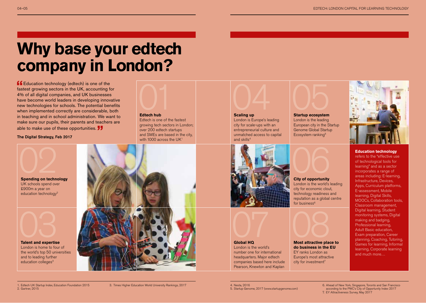### **Why base your edtech company in London?**

**f** Education technology (edtech) is one of the fastest growing sectors in the UK, accounting for 4% of all digital companies, and UK businesses have become world leaders in developing innovative new technologies for schools. The potential benefits when implemented correctly are considerable, both in teaching and in school administration. We want to make sure our pupils, their parents and teachers are able to make use of these opportunities.

The Digital Strategy, Feb 2017



**Edtech hub** 

Edtech is one of the fastest growing tech sectors in London; over 200 edtech startups and SMEs are based in the city, with 1000 across the UK<sup>1</sup>



#### **Scaling up**

**Global HQ**  London is the world's number one for international headquarters. Major edtech companies based here include Pearson, Knewton and Kaplan

London is Europe's leading city for scale-ups with an entrepreneurial culture and unmatched access to capital and skills<sup>4</sup>



London is the leading European city in the Startup Genome Global Startup Ecosystem ranking5



London is the world's leading city for economic clout, technology readiness and reputation as a global centre for business $6$ 



EY ranks London as Europe's most attractive city for investment<sup>7</sup>



#### **Education technology**

refers to the "effective use of technological tools for learning" and as a sector incorporates a range of areas including: E-learning, Infrastructure, Devices, Apps, Curriculum platforms, E-assessment, Mobile learning, Digital Skills, MOOCs, Collaboration tools, Classroom management, Digital learning, Student monitoring systems, Digital making and badging. Professional learning, Adult Basic education, Exam preparation, Career planning, Coaching, Tutoring, Games for learning, Informal learning, Corporate learning and much more…

**Spending on technology** UK schools spend over £900m a year on education technology<sup>2</sup>



London is home to four of the world's top 50 universities and to leading further education colleges<sup>3</sup>



#### 1. Edtech UK Startup Index, Education Foundation 2015 2. Gartner, 2015

5. Startup Genome, 2017 (www.startupgenome.com)

6. Ahead of New York, Singapore, Toronto and San Francisco according to the PWC's City of Opportunity Index 2017 7. EY Attractiveness Survey, May 2017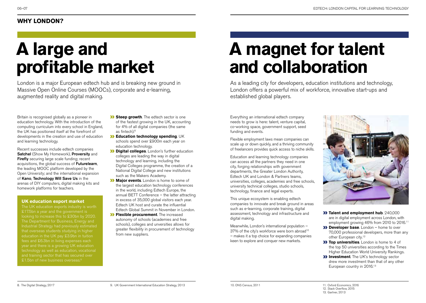## **A large and profitable market**

London is a major European edtech hub and is breaking new ground in Massive Open Online Courses (MOOCs), corporate and e-learning, augmented reality and digital making.

Britain is recognised globally as a pioneer in education technology. With the introduction of the computing curriculum into every school in England, the UK has positioned itself at the forefront of developments in the creation and use of education and learning technology.

Recent successes include edtech companies Satchel (Show My Homework), Proversity and **Firefly** securing large scale funding; recent acquisitions, the global success of Futurelearn, the leading MOOC platform developed by the Open University; and the international expansion of Kano, Technology Will Save Us in the arenas of DIY computers, digital making kits and homework platforms for teachers.

#### **UK education export market**

looking to increase this to £30bn by 2020. The Department for Business, Energy and Industrial Strategy had previously estimated fees and £6.3bn in living expenses each and training sector that has secured over

- **Steep growth**. The edtech sector is one of the fastest growing in the UK, accounting for 4% of all digital companies (the same as fintech). 8
- **Education technology spending**. UK schools spend over £900m each year on education technology.
- **Digital colleges.** London's further education colleges are leading the way in digital technology and learning, including the Digital Colleges programme, the creation of a National Digital College and new institutions such as the Makers Academy.
- **Major events**. London is home to some of the largest education technology conferences in the world, including Edtech Europe, the annual BETT Conference – the latter attracting in excess of 35,000 global visitors each year. Edtech UK host and curate the influential Edtech Global Summit in November in London.
- **Elexible procurement**. The increased autonomy of schools (academies and free schools), colleges and unversities allows for greater flexibility in procurement of technology from new suppliers.

## **A magnet for talent and collaboration**

As a leading city for developers, education institutions and technology, London offers a powerful mix of workforce, innovative start-ups and established global players.

Everything an international edtech company needs to grow is here: talent, venture capital, co-working space, government support, seed funding and events.

Flexible employment laws mean companies can scale up or down quickly, and a thriving community of freelancers provides quick access to niche skills.

Education and learning technology companies can access all the partners they need in one city, forging relationships with government departments, the Greater London Authority, Edtech UK and London & Partners teams. universities, colleges, academies and free schools, university technical colleges, studio schools, technology, finance and legal experts.

This unique ecosystem is enabling edtech companies to innovate and break ground in areas such as e-learning, corporate training, digital assessment, technology and infrastructure and digital making.

Meanwhile, London's international population – 37% of the city's workforce were born abroad<sup>10</sup> – makes it a top choice for expanding companies keen to explore and conquer new markets.



- **Talent and employment hub.** 240,000 are in digital employment across London, with employment growing 46% from 2010 to 2016.<sup>11</sup>
- **Developer base.** London home to over 70,000 professional developers, more than any other European city.<sup>12</sup>
- **Top universities.** London is home to 4 of the top 50 universities according to the Times Higher Education World University Rankings.
- **Investment**. The UK's technology sector drew more investment than that of any other European country in 2016.<sup>13</sup>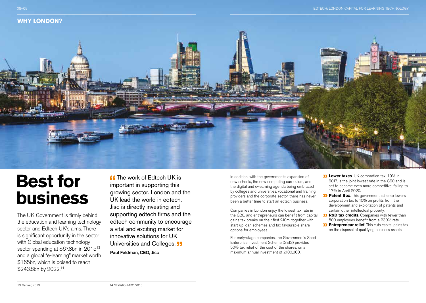



### **Best for business**

The UK Government is firmly behind the education and learning technology sector and Edtech UK's aims. There is significant opportunity in the sector with Global education technology sector spending at \$67.8bn in 2015<sup>13</sup> and a global "e-learning" market worth \$165bn, which is poised to reach \$243.8bn by 2022.14

**Comparently** The work of Edtech LIK is important in supporting this growing sector. London and the UK lead the world in edtech. Jisc is directly investing and supporting edtech firms and the edtech community to encourage a vital and exciting market for innovative solutions for UK Universities and Colleges. **JJ** 

Paul Feldman, CEO, Jisc

In addition, with the government's expansion of new schools, the new computing curriculum, and the digital and e-learning agenda being embraced by colleges and universities, vocational and training providers and the corporate sector, there has never been a better time to start an edtech business.

Companies in London enjoy the lowest tax rate in the G20, and entrepreneurs can benefit from capital gains tax breaks on their first £10m, together with start-up loan schemes and tax favourable share options for employees.

For early-stage companies, the Government's Seed Enterprise Investment Scheme (SEIS) provides 50% tax relief of the cost of the shares, on a maximum annual investment of £100,000.

- **Lower taxes**. UK corporation tax, 19% in 2017, is the joint lowest rate in the G20 and is set to become even more competitive, falling to 17% in April 2020.
- **Patent Box**. This government scheme lowers corporation tax to 10% on profits from the development and exploitation of patents and certain other intellectual property.
- **R&D tax credits**. Companies with fewer than  $\overline{\mathcal{D}}$ 500 employees benefit from a 230% rate.
- **Entrepreneur relief**. This cuts capital gains tax on the disposal of qualifying business assets.

13. Gartner, 2013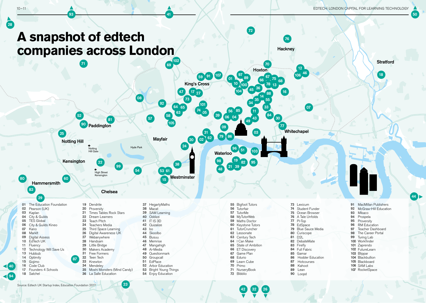

32 26

Source: Edtech UK Startup Index, Education Foundation 2017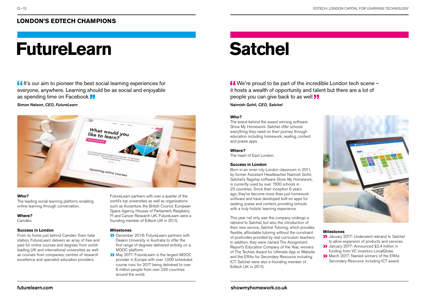### **LONDON'S EDTECH CHAMPIONS**

# **FutureLearn Satchel**

**If** It's our aim to pioneer the best social learning experiences for everyone, anywhere. Learning should be as social and enjoyable as spending time on Facebook **J** 

#### Simon Nelson, *CEO, FutureLearn*



#### **Who?**

The leading social learning platform, enabling online learning through conversation.

#### **Where?**

Camden.

#### **Success in London**

From its home just behind Camden Town tube station, FutureLearn delivers an array of free and paid for online courses and degrees from worldleading UK and international universities as well as courses from companies, centres of research excellence and specialist education providers.

FutureLearn partners with over a quarter of the world's top universities as well as organisations such as Accenture, the British Council, European Space Agency, Houses of Parliament, Raspberry Pi and Cancer Research UK. FutureLearn were a founding member of Edtech UK in 2015.

#### **Milestones**

- December 2016: FutureLearn partners with Deakin University in Australia to offer the first range of degrees delivered entirely on a MOOC platform.
- May 2017: FutureLearn is the largest MOOC provider in Europe with over 1,000 scheduled course runs for 2017 being delivered to over 6 million people from over 230 countries around the world.

 We're proud to be part of the incredible London tech scene – it hosts a wealth of opportunity and talent but there are a lot of people you can give back to as well **JJ** 

Naimish Gohil, *CEO, Satchel*

#### **Who?**

The brand behind the award winning software Show My Homework. Satchel offer schools everything they need on their journey through education including homework, seating, content and praise apps.

#### **Where?**

The heart of East London.

#### **Success in London**

Born in an inner-city London classroom in 2011, by former Assistant Headteacher Naimish Gohil, Satchel's flagship software Show My Homework, is currently used by over 1500 schools in 23 countries. Since their inception 6 years ago, they've become more than just homework software and have developed bolt-on apps for seating, praise and content, providing schools with a truly holistic learning experience.

This year not only saw the company undergo a rebrand to Satchel, but also the introduction of their new service, Satchel Tutoring, which provides flexible, affordable tutoring without the constraint of postcodes provided by real curriculum teachers. In addition, they were named The Assignment Report's Education Company of the Year, winners of The Techies Award for Ultimate App or Website and the ERAs for Secondary Resource including ICT. Satchel were also a founding member of Edtech UK in 2015.



#### **Milestones**

- **>>** January 2017: Underwent rebrand to Satchel to allow expansion of products and services.
- **D** January 2017: Announced £2.4 million in funding from VC investors LocalGlobe.
- March 2017: Named winners of the ERAs Secondary Resource including ICT award.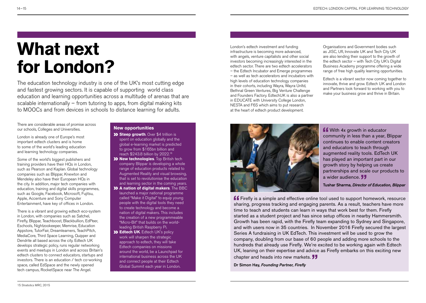## **What next for London?**

The education technology industry is one of the UK's most cutting edge and fastest growing sectors. It is capable of supporting world class education and learning opportunities across a multitude of arenas that are scalable internationally – from tutoring to apps, from digital making kits to MOOCs and from devices in schools to distance learning for adults.

There are considerable areas of promise across our schools, Colleges and Universities.

London is already one of Europe's most important edtech clusters and is home to some of the world's leading education and learning technology companies.

Some of the world's biggest publishers and training providers have their HQs in London, such as Pearson and Kaplan. Global technology companies such as Blippar, Knewton and Mendeley also have their European HQs in the city. In addition, major tech companies with education, training and digital skills programmes, such as Google, Facebook, Microsoft, Fujitsu, Apple, Accenture and Sony Computer Entertainment, have key of offices in London.

There is a vibrant and growing edtech eco-system in London, with companies such as Satchel, Firefly, Blippar, Teachboost, Blackbullion, EdPeer, Eschools, Nightzookeeper, Memrise, Education Appstore, TutorFair, Dreamlearners, TeachPitch, MediaCore, Third Space Learning, Quipper and Dendrite all based across the city. Edtech UK develops strategic policy, runs regular networking events and meetups in London and across Britain's edtech clusters to connect educators, startups and investors. There is an education / tech co-working space, called EdSpace and the newly opened tech campus, RocketSpace near The Angel.

#### **New opportunities**

- **Steep growth**. Over \$4 trillion is spent on education globally and the global e-learning market is predicted to grow from \$165bn billion and reach \$243.8 billion by 2022.16
- **XX New technologies**. Top British tech company Blippar is developing a whole range of education products related to Augmented Reality and visual browsing, that is set to revolutionise the education and learning sector in the coming years.
- **A** nation of digital makers. The BBC launched a major national programme called "Make it Digital" to equip young people with the digital tools they need to create technology and become a nation of digital makers. This includes the creation of a new programmeable "Micro-Bit" that builds on the worldleading British Raspberry Pi.
- **Edtech UK**. Edtech UK's policy work will sharpen the strategic approach to edtech, they will take Edtech companies on missions around the world, be a Launchpad for international business across the UK and connect people at their Edtech Global Summit each year in London.

London's edtech investment and funding infrastructure is becoming more advanced, with angels, venture capitalists and other social investors becoming increasingly interested in the edtech sector. There are two edtech accelerators – the Edtech Incubator and Emerge programmes – as well as tech accelerators and incubators with high levels of education technology companies in their cohorts, including Wayra, Wayra Unltd, Bethnal Green Ventures, Big Venture Challenge and Founders Factory. EdtechUK is also a partner in EDUCATE with University College London, NESTA and F6S which aims to put research at the heart of edtech product development.

Organisations and Government bodies such as JISC, UfI, Innovate UK and Tech City UK are also lending their support to the growth of the edtech sector – with Tech City UK's Digital Business Academy programme offering a wide range of free high quality learning opportunities.

Edtech is a vibrant sector now coming together to innovate, thrive and grow. Edtech UK and London and Partners look forward to working with you to make your business grow and thrive in Britain.



**f** With 4x growth in educator community in less than a year, Blippar continues to enable content creators and educators to teach through augmented reality tools. EdTech UK has played an important part in our growth story by helping us create partnerships and scale our products to a wider audience.

Tushar Sharma, *Director of Education, Blippar*

**ff** Firefly is a simple and effective online tool used to support homework, resource sharing, progress tracking and engaging parents. As a result, teachers have more time to teach and students can learn in ways that work best for them. Firefly started as a student project and has since setup offices in nearby Hammersmith. Growth has been rapid, with the Firefly team expanding to Sydney and Singapore, and with users now in 35 countries. In November 2016 Firefly secured the largest Series A fundraising in UK EdTech. This investment will be used to grow the company, doubling from our base of 60 people and adding more schools to the hundreds that already use Firefly. We're excited to be working again with Edtech UK, leaning on their expertise and advice as Firefly embarks on this exciting new chapter and heads into new markets. **JJ** 

Dr Simon Hay, *Founding Partner, Firefly*